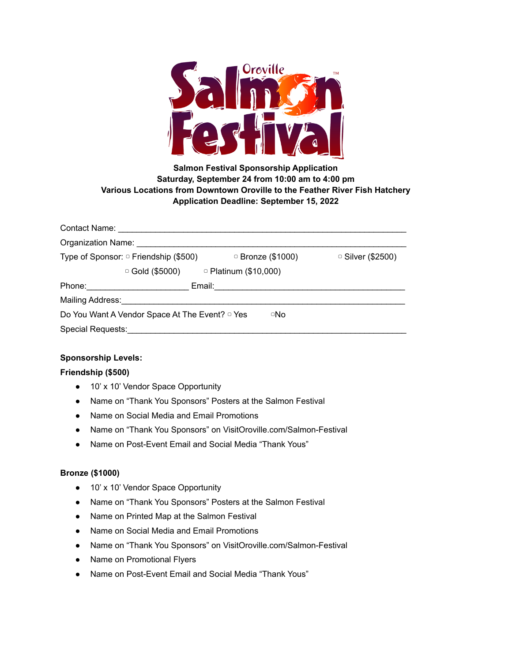

# **Salmon Festival Sponsorship Application Saturday, September 24 from 10:00 am to 4:00 pm Various Locations from Downtown Oroville to the Feather River Fish Hatchery Application Deadline: September 15, 2022**

| Type of Sponsor: □ Friendship (\$500)                            | □ Bronze (\$1000)                                 | □ Silver (\$2500) |
|------------------------------------------------------------------|---------------------------------------------------|-------------------|
|                                                                  | $\circ$ Gold (\$5000) $\circ$ Platinum (\$10,000) |                   |
|                                                                  | Email: <u>________________________</u>            |                   |
| Mailing Address: Mailing Address:                                |                                                   |                   |
| Do You Want A Vendor Space At The Event? <sup>o</sup> Yes<br>□No |                                                   |                   |
| <b>Special Requests:</b>                                         |                                                   |                   |

# **Sponsorship Levels:**

# **Friendship (\$500)**

- 10' x 10' Vendor Space Opportunity
- Name on "Thank You Sponsors" Posters at the Salmon Festival
- Name on Social Media and Email Promotions
- Name on "Thank You Sponsors" on VisitOroville.com/Salmon-Festival
- Name on Post-Event Email and Social Media "Thank Yous"

# **Bronze (\$1000)**

- 10' x 10' Vendor Space Opportunity
- Name on "Thank You Sponsors" Posters at the Salmon Festival
- Name on Printed Map at the Salmon Festival
- Name on Social Media and Email Promotions
- Name on "Thank You Sponsors" on VisitOroville.com/Salmon-Festival
- Name on Promotional Flyers
- Name on Post-Event Email and Social Media "Thank Yous"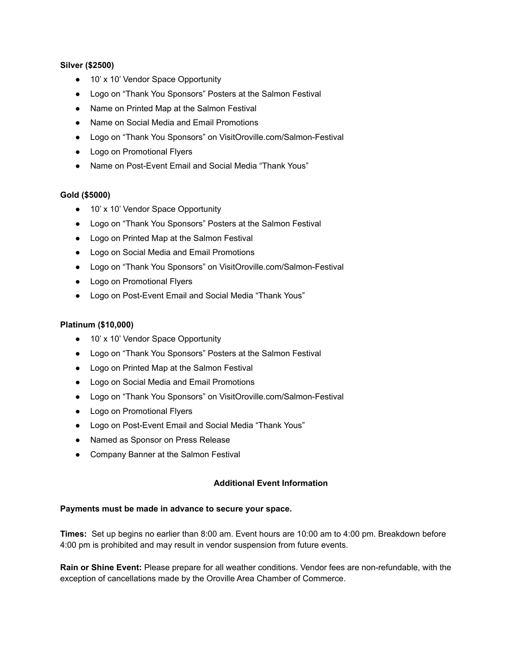### **Silver (\$2500)**

- 10' x 10' Vendor Space Opportunity
- Logo on "Thank You Sponsors" Posters at the Salmon Festival
- Name on Printed Map at the Salmon Festival
- Name on Social Media and Email Promotions
- Logo on "Thank You Sponsors" on VisitOroville.com/Salmon-Festival
- Logo on Promotional Flyers
- Name on Post-Event Email and Social Media "Thank Yous"

#### **Gold (\$5000)**

- 10' x 10' Vendor Space Opportunity
- Logo on "Thank You Sponsors" Posters at the Salmon Festival
- Logo on Printed Map at the Salmon Festival
- Logo on Social Media and Email Promotions
- Logo on "Thank You Sponsors" on VisitOroville.com/Salmon-Festival
- Logo on Promotional Flyers
- Logo on Post-Event Email and Social Media "Thank Yous"

#### **Platinum (\$10,000)**

- 10' x 10' Vendor Space Opportunity
- Logo on "Thank You Sponsors" Posters at the Salmon Festival
- Logo on Printed Map at the Salmon Festival
- Logo on Social Media and Email Promotions
- Logo on "Thank You Sponsors" on VisitOroville.com/Salmon-Festival
- Logo on Promotional Flyers
- Logo on Post-Event Email and Social Media "Thank Yous"
- Named as Sponsor on Press Release
- Company Banner at the Salmon Festival

#### **Additional Event Information**

#### **Payments must be made in advance to secure your space.**

**Times:** Set up begins no earlier than 8:00 am. Event hours are 10:00 am to 4:00 pm. Breakdown before 4:00 pm is prohibited and may result in vendor suspension from future events.

**Rain or Shine Event:** Please prepare for all weather conditions. Vendor fees are non-refundable, with the exception of cancellations made by the Oroville Area Chamber of Commerce.